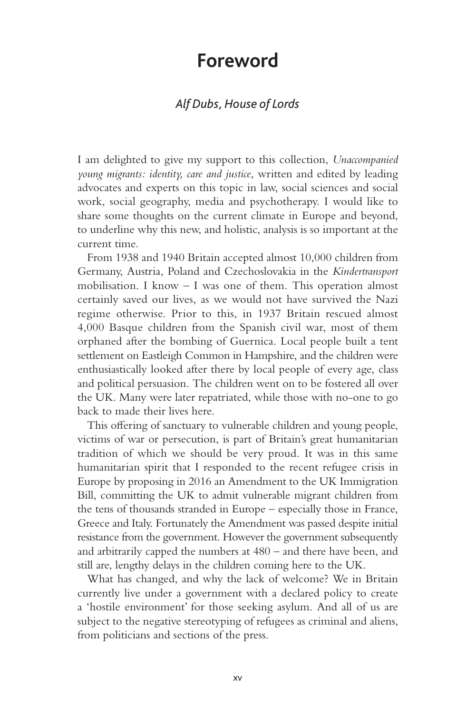## **Foreword**

## *Alf Dubs, House of Lords*

I am delighted to give my support to this collection, *Unaccompanied young migrants: identity, care and justice*, written and edited by leading advocates and experts on this topic in law, social sciences and social work, social geography, media and psychotherapy. I would like to share some thoughts on the current climate in Europe and beyond, to underline why this new, and holistic, analysis is so important at the current time.

From 1938 and 1940 Britain accepted almost 10,000 children from Germany, Austria, Poland and Czechoslovakia in the *Kindertransport* mobilisation. I know – I was one of them. This operation almost certainly saved our lives, as we would not have survived the Nazi regime otherwise. Prior to this, in 1937 Britain rescued almost 4,000 Basque children from the Spanish civil war, most of them orphaned after the bombing of Guernica. Local people built a tent settlement on Eastleigh Common in Hampshire, and the children were enthusiastically looked after there by local people of every age, class and political persuasion. The children went on to be fostered all over the UK. Many were later repatriated, while those with no-one to go back to made their lives here.

This offering of sanctuary to vulnerable children and young people, victims of war or persecution, is part of Britain's great humanitarian tradition of which we should be very proud. It was in this same humanitarian spirit that I responded to the recent refugee crisis in Europe by proposing in 2016 an Amendment to the UK Immigration Bill, committing the UK to admit vulnerable migrant children from the tens of thousands stranded in Europe – especially those in France, Greece and Italy. Fortunately the Amendment was passed despite initial resistance from the government. However the government subsequently and arbitrarily capped the numbers at 480 – and there have been, and still are, lengthy delays in the children coming here to the UK.

What has changed, and why the lack of welcome? We in Britain currently live under a government with a declared policy to create a 'hostile environment' for those seeking asylum. And all of us are subject to the negative stereotyping of refugees as criminal and aliens, from politicians and sections of the press.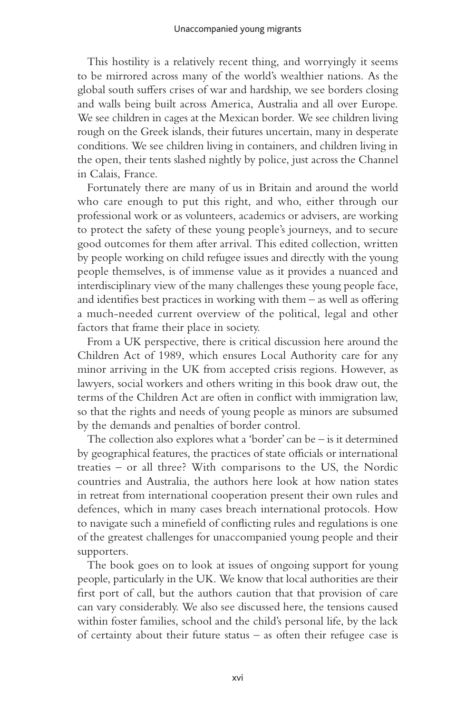This hostility is a relatively recent thing, and worryingly it seems to be mirrored across many of the world's wealthier nations. As the global south suffers crises of war and hardship, we see borders closing and walls being built across America, Australia and all over Europe. We see children in cages at the Mexican border. We see children living rough on the Greek islands, their futures uncertain, many in desperate conditions. We see children living in containers, and children living in the open, their tents slashed nightly by police, just across the Channel in Calais, France.

Fortunately there are many of us in Britain and around the world who care enough to put this right, and who, either through our professional work or as volunteers, academics or advisers, are working to protect the safety of these young people's journeys, and to secure good outcomes for them after arrival. This edited collection, written by people working on child refugee issues and directly with the young people themselves, is of immense value as it provides a nuanced and interdisciplinary view of the many challenges these young people face, and identifies best practices in working with them – as well as offering a much-needed current overview of the political, legal and other factors that frame their place in society.

From a UK perspective, there is critical discussion here around the Children Act of 1989, which ensures Local Authority care for any minor arriving in the UK from accepted crisis regions. However, as lawyers, social workers and others writing in this book draw out, the terms of the Children Act are often in conflict with immigration law, so that the rights and needs of young people as minors are subsumed by the demands and penalties of border control.

The collection also explores what a 'border' can be – is it determined by geographical features, the practices of state officials or international treaties – or all three? With comparisons to the US, the Nordic countries and Australia, the authors here look at how nation states in retreat from international cooperation present their own rules and defences, which in many cases breach international protocols. How to navigate such a minefield of conflicting rules and regulations is one of the greatest challenges for unaccompanied young people and their supporters.

The book goes on to look at issues of ongoing support for young people, particularly in the UK. We know that local authorities are their first port of call, but the authors caution that that provision of care can vary considerably. We also see discussed here, the tensions caused within foster families, school and the child's personal life, by the lack of certainty about their future status – as often their refugee case is